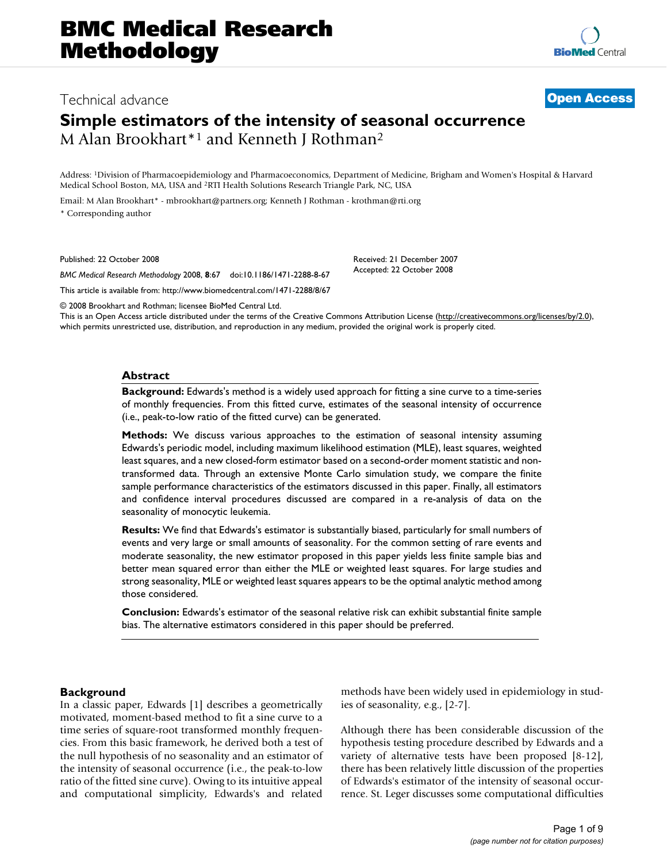# Technical advance **[Open Access](http://www.biomedcentral.com/info/about/charter/)**

# **Simple estimators of the intensity of seasonal occurrence** M Alan Brookhart\*1 and Kenneth J Rothman2

Address: 1Division of Pharmacoepidemiology and Pharmacoeconomics, Department of Medicine, Brigham and Women's Hospital & Harvard Medical School Boston, MA, USA and 2RTI Health Solutions Research Triangle Park, NC, USA

Email: M Alan Brookhart\* - mbrookhart@partners.org; Kenneth J Rothman - krothman@rti.org \* Corresponding author

Published: 22 October 2008

*BMC Medical Research Methodology* 2008, **8**:67 doi:10.1186/1471-2288-8-67

[This article is available from: http://www.biomedcentral.com/1471-2288/8/67](http://www.biomedcentral.com/1471-2288/8/67)

© 2008 Brookhart and Rothman; licensee BioMed Central Ltd.

This is an Open Access article distributed under the terms of the Creative Commons Attribution License [\(http://creativecommons.org/licenses/by/2.0\)](http://creativecommons.org/licenses/by/2.0), which permits unrestricted use, distribution, and reproduction in any medium, provided the original work is properly cited.

Received: 21 December 2007 Accepted: 22 October 2008

#### **Abstract**

**Background:** Edwards's method is a widely used approach for fitting a sine curve to a time-series of monthly frequencies. From this fitted curve, estimates of the seasonal intensity of occurrence (i.e., peak-to-low ratio of the fitted curve) can be generated.

**Methods:** We discuss various approaches to the estimation of seasonal intensity assuming Edwards's periodic model, including maximum likelihood estimation (MLE), least squares, weighted least squares, and a new closed-form estimator based on a second-order moment statistic and nontransformed data. Through an extensive Monte Carlo simulation study, we compare the finite sample performance characteristics of the estimators discussed in this paper. Finally, all estimators and confidence interval procedures discussed are compared in a re-analysis of data on the seasonality of monocytic leukemia.

**Results:** We find that Edwards's estimator is substantially biased, particularly for small numbers of events and very large or small amounts of seasonality. For the common setting of rare events and moderate seasonality, the new estimator proposed in this paper yields less finite sample bias and better mean squared error than either the MLE or weighted least squares. For large studies and strong seasonality, MLE or weighted least squares appears to be the optimal analytic method among those considered.

**Conclusion:** Edwards's estimator of the seasonal relative risk can exhibit substantial finite sample bias. The alternative estimators considered in this paper should be preferred.

# **Background**

In a classic paper, Edwards [1] describes a geometrically motivated, moment-based method to fit a sine curve to a time series of square-root transformed monthly frequencies. From this basic framework, he derived both a test of the null hypothesis of no seasonality and an estimator of the intensity of seasonal occurrence (i.e., the peak-to-low ratio of the fitted sine curve). Owing to its intuitive appeal and computational simplicity, Edwards's and related methods have been widely used in epidemiology in studies of seasonality, e.g., [2-7].

Although there has been considerable discussion of the hypothesis testing procedure described by Edwards and a variety of alternative tests have been proposed [8-12], there has been relatively little discussion of the properties of Edwards's estimator of the intensity of seasonal occurrence. St. Leger discusses some computational difficulties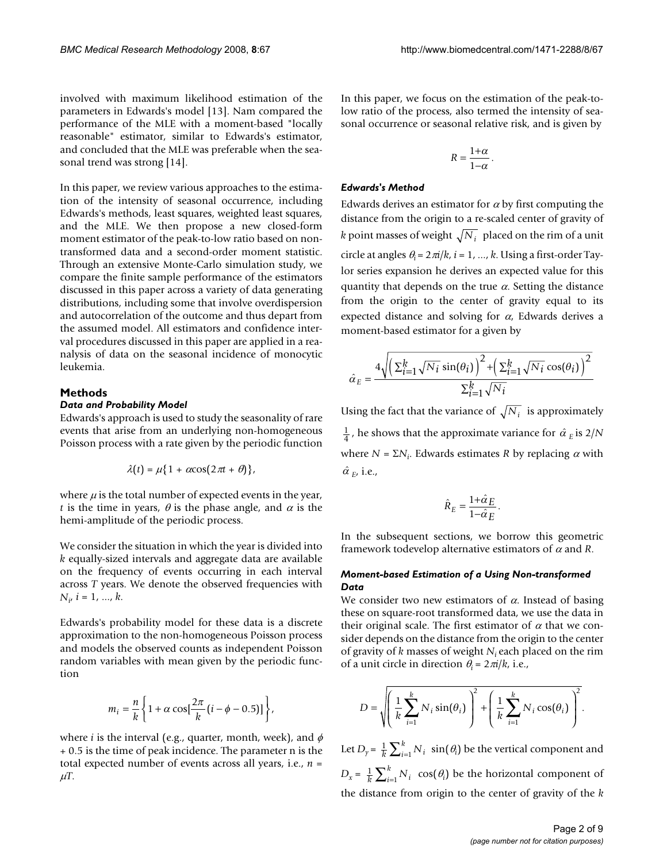involved with maximum likelihood estimation of the parameters in Edwards's model [13]. Nam compared the performance of the MLE with a moment-based "locally reasonable" estimator, similar to Edwards's estimator, and concluded that the MLE was preferable when the seasonal trend was strong [14].

In this paper, we review various approaches to the estimation of the intensity of seasonal occurrence, including Edwards's methods, least squares, weighted least squares, and the MLE. We then propose a new closed-form moment estimator of the peak-to-low ratio based on nontransformed data and a second-order moment statistic. Through an extensive Monte-Carlo simulation study, we compare the finite sample performance of the estimators discussed in this paper across a variety of data generating distributions, including some that involve overdispersion and autocorrelation of the outcome and thus depart from the assumed model. All estimators and confidence interval procedures discussed in this paper are applied in a reanalysis of data on the seasonal incidence of monocytic leukemia.

# **Methods**

# *Data and Probability Model*

Edwards's approach is used to study the seasonality of rare events that arise from an underlying non-homogeneous Poisson process with a rate given by the periodic function

$$
\lambda(t) = \mu \{ 1 + \alpha \cos(2\pi t + \theta) \},
$$

where  $\mu$  is the total number of expected events in the year, *t* is the time in years,  $\theta$  is the phase angle, and  $\alpha$  is the hemi-amplitude of the periodic process.

We consider the situation in which the year is divided into *k* equally-sized intervals and aggregate data are available on the frequency of events occurring in each interval across *T* years. We denote the observed frequencies with *Ni* , *i* = 1, ..., *k*.

Edwards's probability model for these data is a discrete approximation to the non-homogeneous Poisson process and models the observed counts as independent Poisson random variables with mean given by the periodic function

$$
m_i = \frac{n}{k} \left\{ 1 + \alpha \cos\left[\frac{2\pi}{k} \left(i - \phi - 0.5\right)\right] \right\},\,
$$

where *i* is the interval (e.g., quarter, month, week), and  $\phi$ + 0.5 is the time of peak incidence. The parameter n is the total expected number of events across all years, i.e., *n* = <sup>μ</sup>*T*.

In this paper, we focus on the estimation of the peak-tolow ratio of the process, also termed the intensity of seasonal occurrence or seasonal relative risk, and is given by

$$
R=\frac{1{+}\alpha}{1{-}\alpha}.
$$

# *Edwards's Method*

Edwards derives an estimator for  $\alpha$  by first computing the distance from the origin to a re-scaled center of gravity of *k* point masses of weight  $\sqrt{N_i}$  placed on the rim of a unit circle at angles  $\theta_i = 2\pi i/k$ ,  $i = 1, ..., k$ . Using a first-order Taylor series expansion he derives an expected value for this quantity that depends on the true  $\alpha$ . Setting the distance from the origin to the center of gravity equal to its expected distance and solving for  $\alpha$ , Edwards derives a moment-based estimator for a given by

$$
\hat{\alpha}_E = \frac{4\sqrt{\left(\sum_{i=1}^k \sqrt{N_i} \sin(\theta_i)\right)^2 + \left(\sum_{i=1}^k \sqrt{N_i} \cos(\theta_i)\right)^2}}{\sum_{i=1}^k \sqrt{N_i}}
$$

Using the fact that the variance of  $\sqrt{N_i}$  is approximately  $\frac{1}{4}$ , he shows that the approximate variance for  $\hat{\alpha}_E$  is  $2/N$ where  $N = \sum N_i$ . Edwards estimates *R* by replacing  $\alpha$  with  $\hat{\alpha}|_{E}$ , i.e.,

$$
\hat{R}_E = \frac{1+\hat{\alpha}_E}{1-\hat{\alpha}_E}.
$$

In the subsequent sections, we borrow this geometric framework todevelop alternative estimators of <sup>α</sup> and *R*.

#### *Moment-based Estimation of a Using Non-transformed Data*

We consider two new estimators of  $\alpha$ . Instead of basing these on square-root transformed data, we use the data in their original scale. The first estimator of  $\alpha$  that we consider depends on the distance from the origin to the center of gravity of *k* masses of weight *Ni* each placed on the rim of a unit circle in direction  $\theta_i = 2\pi i/k$ , i.e.,

$$
D = \sqrt{\left(\frac{1}{k}\sum_{i=1}^{k} N_i \sin(\theta_i)\right)^2 + \left(\frac{1}{k}\sum_{i=1}^{k} N_i \cos(\theta_i)\right)^2}.
$$

Let  $D_{\gamma} = \frac{1}{k} \sum_{i=1}^{k} N_i \sin(\theta_i)$  be the vertical component and  $D_x = \frac{1}{k} \sum_{i=1}^k N_i$   $cos(\theta_i)$  be the horizontal component of the distance from origin to the center of gravity of the *k*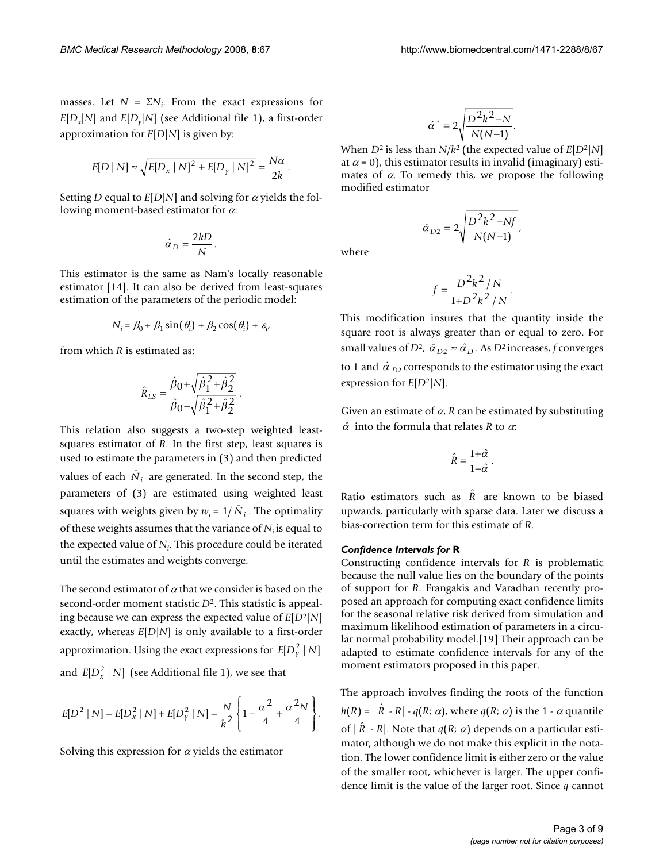masses. Let  $N = \Sigma N_i$ . From the exact expressions for  $E[D_x|N]$  and  $E[D_y|N]$  (see Additional file 1), a first-order approximation for *E*[*D*|*N*] is given by:

$$
E[D \mid N] \approx \sqrt{E[D_x \mid N]^2 + E[D_y \mid N]^2} = \frac{N\alpha}{2k}.
$$

Setting *D* equal to  $E[D|N]$  and solving for  $\alpha$  yields the following moment-based estimator for  $\alpha$ :

$$
\hat{\alpha}_D = \frac{2kD}{N}.
$$

This estimator is the same as Nam's locally reasonable estimator [14]. It can also be derived from least-squares estimation of the parameters of the periodic model:

$$
N_i = \beta_0 + \beta_1 \sin(\theta_i) + \beta_2 \cos(\theta_i) + \varepsilon_{i'}
$$

from which *R* is estimated as:

$$
\hat{R}_{LS} = \frac{\hat{\beta}_0 + \sqrt{\hat{\beta}_1^2 + \hat{\beta}_2^2}}{\hat{\beta}_0 - \sqrt{\hat{\beta}_1^2 + \hat{\beta}_2^2}}.
$$

This relation also suggests a two-step weighted leastsquares estimator of *R*. In the first step, least squares is used to estimate the parameters in (3) and then predicted values of each  $\hat{N}_i$  are generated. In the second step, the parameters of (3) are estimated using weighted least squares with weights given by  $w_i = 1/\hat{N}_i$ . The optimality of these weights assumes that the variance of *Ni* is equal to the expected value of *Ni* . This procedure could be iterated until the estimates and weights converge.

The second estimator of  $\alpha$  that we consider is based on the second-order moment statistic *D*2. This statistic is appealing because we can express the expected value of *E*[*D*2|*N*] exactly, whereas *E*[*D*|*N*] is only available to a first-order approximation. Using the exact expressions for  $E[D_y^2 | N]$ and  $E[D_x^2 | N]$  (see Additional file 1), we see that

$$
E[D^{2} | N] = E[D_{x}^{2} | N] + E[D_{y}^{2} | N] = \frac{N}{k^{2}} \left\{ 1 - \frac{\alpha^{2}}{4} + \frac{\alpha^{2} N}{4} \right\}.
$$

Solving this expression for  $\alpha$  yields the estimator

$$
\hat{\alpha}^* = 2\sqrt{\frac{D^2k^2-N}{N(N-1)}}.
$$

When *D*2 is less than *N*/*k*2 (the expected value of *E*[*D*2|*N*] at  $\alpha = 0$ ), this estimator results in invalid (imaginary) estimates of  $\alpha$ . To remedy this, we propose the following modified estimator

$$
\hat{\alpha}_{D2} = 2 \sqrt{\frac{D^2 k^2 - Nf}{N(N-1)}},
$$

where

$$
f = \frac{D^2 k^2 / N}{1 + D^2 k^2 / N}.
$$

This modification insures that the quantity inside the square root is always greater than or equal to zero. For small values of  $D^2$ ,  $\hat{\alpha}_{D2} \approx \hat{\alpha}_D$ . As  $D^2$  increases,  $f$  converges to 1 and  $\hat{\alpha}|_{D2}$  corresponds to the estimator using the exact expression for *E*[*D*2|*N*].

Given an estimate of  $\alpha$ ,  $R$  can be estimated by substituting  $\hat{\alpha}$  into the formula that relates *R* to  $\alpha$ :

$$
\hat{R} = \frac{1{+}\hat{\alpha}}{1{-}\hat{\alpha}}.
$$

Ratio estimators such as  $\hat{R}$  are known to be biased upwards, particularly with sparse data. Later we discuss a bias-correction term for this estimate of *R*.

#### *Confidence Intervals for* **R**

Constructing confidence intervals for *R* is problematic because the null value lies on the boundary of the points of support for *R*. Frangakis and Varadhan recently proposed an approach for computing exact confidence limits for the seasonal relative risk derived from simulation and maximum likelihood estimation of parameters in a circular normal probability model.[19] Their approach can be adapted to estimate confidence intervals for any of the moment estimators proposed in this paper.

The approach involves finding the roots of the function  $h(R) = |R \cdot R| - q(R; \alpha)$ , where  $q(R; \alpha)$  is the 1 -  $\alpha$  quantile of  $|\hat{R} - R|$ . Note that  $q(R; \alpha)$  depends on a particular estimator, although we do not make this explicit in the notation. The lower confidence limit is either zero or the value of the smaller root, whichever is larger. The upper confidence limit is the value of the larger root. Since *q* cannot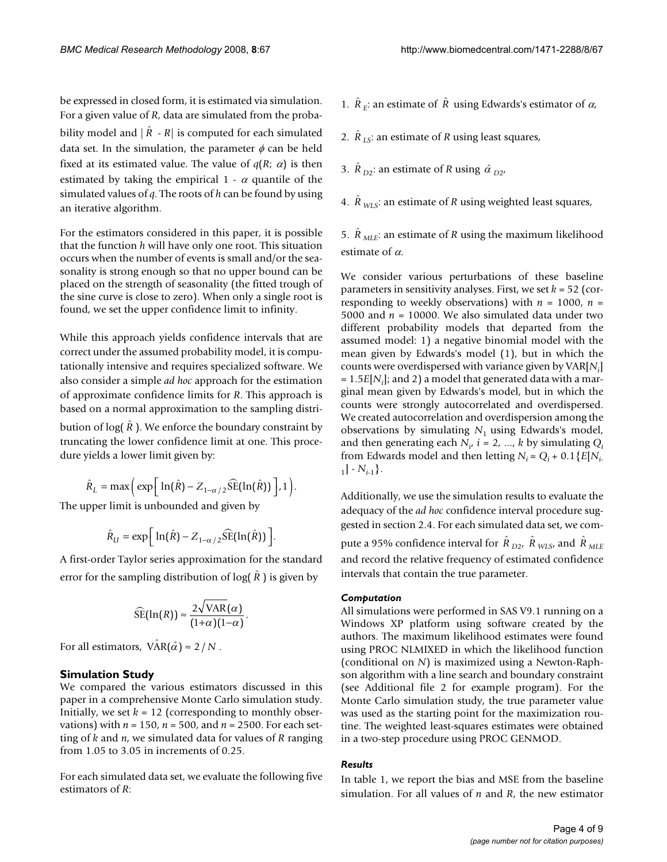be expressed in closed form, it is estimated via simulation. For a given value of *R*, data are simulated from the probability model and  $|\hat{R} - R|$  is computed for each simulated data set. In the simulation, the parameter  $\phi$  can be held fixed at its estimated value. The value of  $q(R; \alpha)$  is then estimated by taking the empirical  $1 - \alpha$  quantile of the simulated values of *q*. The roots of *h* can be found by using an iterative algorithm.

For the estimators considered in this paper, it is possible that the function *h* will have only one root. This situation occurs when the number of events is small and/or the seasonality is strong enough so that no upper bound can be placed on the strength of seasonality (the fitted trough of the sine curve is close to zero). When only a single root is found, we set the upper confidence limit to infinity.

While this approach yields confidence intervals that are correct under the assumed probability model, it is computationally intensive and requires specialized software. We also consider a simple *ad hoc* approach for the estimation of approximate confidence limits for *R*. This approach is based on a normal approximation to the sampling distri-

bution of log( $\hat{R}$ ). We enforce the boundary constraint by truncating the lower confidence limit at one. This procedure yields a lower limit given by:

$$
\hat{R}_L = \max\left(\exp\left[\ln(\hat{R}) - Z_{1-\alpha/2}\widehat{\text{SE}}(\ln(\hat{R}))\right], 1\right).
$$

The upper limit is unbounded and given by

$$
\hat{R}_U = \exp\left[\ln(\hat{R}) - Z_{1-\alpha/2} \widehat{\text{SE}}(\ln(\hat{R}))\right].
$$

A first-order Taylor series approximation for the standard error for the sampling distribution of log( $\hat{R}$ ) is given by

$$
\widehat{\rm SE}(\ln(R)) \approx \frac{2\sqrt{\rm VAR}(\alpha)}{(1+\alpha)(1-\alpha)}.
$$

For all estimators,  $VAR(\hat{\alpha}) \approx 2/N$ .

# **Simulation Study**

We compared the various estimators discussed in this paper in a comprehensive Monte Carlo simulation study. Initially, we set  $k = 12$  (corresponding to monthly observations) with *n* = 150, *n* = 500, and *n* = 2500. For each setting of *k* and *n*, we simulated data for values of *R* ranging from 1.05 to 3.05 in increments of 0.25.

For each simulated data set, we evaluate the following five estimators of *R*:

- 1.  $\hat{R}_E$ : an estimate of  $\hat{R}$  using Edwards's estimator of  $\alpha$ ,
- 2.  $\hat{R}_{LS}$ : an estimate of *R* using least squares,
- 3.  $\hat{R}_{D2}$ : an estimate of *R* using  $\hat{\alpha}_{D2}$ ,
- 4.  $\hat{R}$ <sub>*WLS</sub>*: an estimate of *R* using weighted least squares,</sub>

5.  $\hat{R}_{MLE}$ : an estimate of *R* using the maximum likelihood estimate of  $\alpha$ .

We consider various perturbations of these baseline parameters in sensitivity analyses. First, we set *k* = 52 (corresponding to weekly observations) with  $n = 1000$ ,  $n =$ 5000 and  $n = 10000$ . We also simulated data under two different probability models that departed from the assumed model: 1) a negative binomial model with the mean given by Edwards's model (1), but in which the counts were overdispersed with variance given by VAR[*Ni* ] = 1.5*E*[*Ni* ]; and 2) a model that generated data with a marginal mean given by Edwards's model, but in which the counts were strongly autocorrelated and overdispersed. We created autocorrelation and overdispersion among the observations by simulating  $N_1$  using Edwards's model, and then generating each  $N_i$ ,  $i = 2, ..., k$  by simulating  $Q_i$ from Edwards model and then letting  $N_i = Q_i + 0.1$  { $E[N_i]$  $_{1}$ ] -  $N_{i-1}$  }.

Additionally, we use the simulation results to evaluate the adequacy of the *ad hoc* confidence interval procedure suggested in section 2.4. For each simulated data set, we compute a 95% confidence interval for  $\hat{R}$  <sub>D2</sub>,  $\hat{R}$  <sub>WLS</sub>, and  $\hat{R}$  <sub>MLE</sub> and record the relative frequency of estimated confidence intervals that contain the true parameter.

# *Computation*

All simulations were performed in SAS V9.1 running on a Windows XP platform using software created by the authors. The maximum likelihood estimates were found using PROC NLMIXED in which the likelihood function (conditional on *N*) is maximized using a Newton-Raphson algorithm with a line search and boundary constraint (see Additional file 2 for example program). For the Monte Carlo simulation study, the true parameter value was used as the starting point for the maximization routine. The weighted least-squares estimates were obtained in a two-step procedure using PROC GENMOD.

# *Results*

In table 1, we report the bias and MSE from the baseline simulation. For all values of *n* and *R*, the new estimator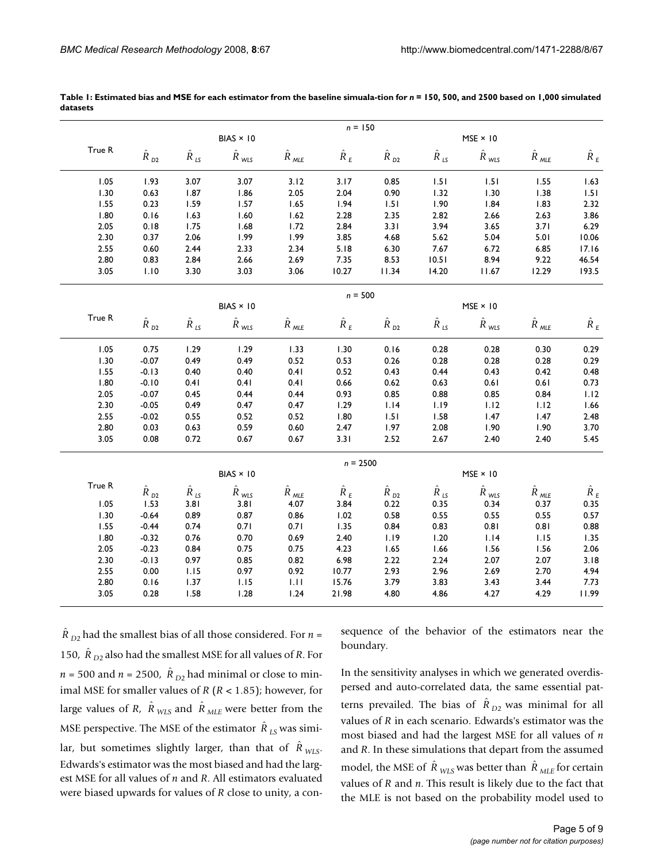|        |                         |                       |                           |                             | $n = 150$   |                         |                |                        |               |               |
|--------|-------------------------|-----------------------|---------------------------|-----------------------------|-------------|-------------------------|----------------|------------------------|---------------|---------------|
|        |                         |                       | $BIAS \times 10$          |                             |             |                         |                | $MSE \times 10$        |               |               |
| True R | $\hat{R}$ $_{D2}$       | $\hat{R}_{L\text{S}}$ | $\hat{R}$ $_{\text{WLS}}$ | $\hat{R}$ $_{\textit{MLE}}$ | $\hat{R}_E$ | $\hat{R}$ $_{D2}$       | $\hat{R}_{LS}$ | $\hat{R}$ $_{\rm WLS}$ | $\hat{R}$ mle | $\hat{R}_E$   |
| 1.05   | 1.93                    | 3.07                  | 3.07                      | 3.12                        | 3.17        | 0.85                    | 1.51           | 1.51                   | 1.55          | 1.63          |
| 1.30   | 0.63                    | 1.87                  | 1.86                      | 2.05                        | 2.04        | 0.90                    | 1.32           | 1.30                   | 1.38          | 1.51          |
| 1.55   | 0.23                    | 1.59                  | 1.57                      | 1.65                        | 1.94        | 1.51                    | 1.90           | 1.84                   | 1.83          | 2.32          |
| 1.80   | 0.16                    | 1.63                  | 1.60                      | 1.62                        | 2.28        | 2.35                    | 2.82           | 2.66                   | 2.63          | 3.86          |
| 2.05   | 0.18                    | 1.75                  | 1.68                      | 1.72                        | 2.84        | 3.31                    | 3.94           | 3.65                   | 3.71          | 6.29          |
| 2.30   | 0.37                    | 2.06                  | 1.99                      | 1.99                        | 3.85        | 4.68                    | 5.62           | 5.04                   | 5.01          | 10.06         |
| 2.55   | 0.60                    | 2.44                  | 2.33                      | 2.34                        | 5.18        | 6.30                    | 7.67           | 6.72                   | 6.85          | 17.16         |
| 2.80   | 0.83                    | 2.84                  | 2.66                      | 2.69                        | 7.35        | 8.53                    | 10.51          | 8.94                   | 9.22          | 46.54         |
| 3.05   | 1.10                    | 3.30                  | 3.03                      | 3.06                        | 10.27       | 11.34                   | 14.20          | 11.67                  | 12.29         | 193.5         |
|        |                         |                       |                           |                             | $n = 500$   |                         |                |                        |               |               |
|        |                         |                       | BIAS × 10                 |                             |             |                         |                | $MSE \times 10$        |               |               |
| True R | $\hat{R}$ <sub>D2</sub> | $\hat{R}_{L\text{s}}$ | $\hat{R}$ $_{\rm WLS}$    | $\hat{R}$ $_{\rm MLE}$      | $\hat{R}_E$ | $\hat{R}$ <sub>D2</sub> | $\hat{R}_{LS}$ | $\hat{R}$ $_{\rm WLS}$ | $\hat{R}$ mle | $\hat{R}_E$   |
| 1.05   | 0.75                    | 1.29                  | 1.29                      | 1.33                        | 1.30        | 0.16                    | 0.28           | 0.28                   | 0.30          | 0.29          |
| 1.30   | $-0.07$                 | 0.49                  | 0.49                      | 0.52                        | 0.53        | 0.26                    | 0.28           | 0.28                   | 0.28          | 0.29          |
| 1.55   | $-0.13$                 | 0.40                  | 0.40                      | 0.41                        | 0.52        | 0.43                    | 0.44           | 0.43                   | 0.42          | 0.48          |
| 1.80   | $-0.10$                 | 0.41                  | 0.41                      | 0.41                        | 0.66        | 0.62                    | 0.63           | 0.61                   | 0.61          | 0.73          |
| 2.05   | $-0.07$                 | 0.45                  | 0.44                      | 0.44                        | 0.93        | 0.85                    | 0.88           | 0.85                   | 0.84          | 1.12          |
| 2.30   | $-0.05$                 | 0.49                  | 0.47                      | 0.47                        | 1.29        | 1.14                    | 1.19           | 1.12                   | 1.12          | 1.66          |
| 2.55   | $-0.02$                 | 0.55                  | 0.52                      | 0.52                        | 1.80        | 1.51                    | 1.58           | 1.47                   | 1.47          | 2.48          |
| 2.80   | 0.03                    | 0.63                  | 0.59                      | 0.60                        | 2.47        | 1.97                    | 2.08           | 1.90                   | 1.90          | 3.70          |
| 3.05   | 0.08                    | 0.72                  | 0.67                      | 0.67                        | 3.31        | 2.52                    | 2.67           | 2.40                   | 2.40          | 5.45          |
|        |                         |                       |                           |                             | $n = 2500$  |                         |                |                        |               |               |
|        |                         |                       | BIAS × 10                 |                             |             |                         |                | $MSE \times 10$        |               |               |
| True R | $\hat{R}$ $_{D2}$       | $\hat{R}_{LS}$        | $\hat{R}$ wls             | $\hat{R}$ mle               | $\hat{R}_E$ | $\hat{R}$ <sub>D2</sub> | $\hat{R}_{LS}$ | $\hat{R}$ $_{\rm WLS}$ | $\hat{R}$ mle | $\hat{R}_{E}$ |
| 1.05   | 1.53                    | 3.81                  | 3.81                      | 4.07                        | 3.84        | 0.22                    | 0.35           | 0.34                   | 0.37          | 0.35          |
| 1.30   | $-0.64$                 | 0.89                  | 0.87                      | 0.86                        | 1.02        | 0.58                    | 0.55           | 0.55                   | 0.55          | 0.57          |
| 1.55   | $-0.44$                 | 0.74                  | 0.71                      | 0.71                        | 1.35        | 0.84                    | 0.83           | 0.81                   | 0.81          | 0.88          |
| 1.80   | $-0.32$                 | 0.76                  | 0.70                      | 0.69                        | 2.40        | 1.19                    | 1.20           | 1.14                   | 1.15          | 1.35          |
| 2.05   | $-0.23$                 | 0.84                  | 0.75                      | 0.75                        | 4.23        | 1.65                    | 1.66           | 1.56                   | 1.56          | 2.06          |
| 2.30   | $-0.13$                 | 0.97                  | 0.85                      | 0.82                        | 6.98        | 2.22                    | 2.24           | 2.07                   | 2.07          | 3.18          |
| 2.55   | 0.00                    | 1.15                  | 0.97                      | 0.92                        | 10.77       | 2.93                    | 2.96           | 2.69                   | 2.70          | 4.94          |
| 2.80   | 0.16                    | 1.37                  | 1.15                      | 1.11                        | 15.76       | 3.79                    | 3.83           | 3.43                   | 3.44          | 7.73          |
| 3.05   | 0.28                    | 1.58                  | 1.28                      | 1.24                        | 21.98       | 4.80                    | 4.86           | 4.27                   | 4.29          | 11.99         |
|        |                         |                       |                           |                             |             |                         |                |                        |               |               |

Table 1: Estimated bias and MSE for each estimator from the baseline simuala-tion for  $n = 150$ , 500, and 2500 based on 1,000 simulated **datasets**

 $\hat{R}_{D2}$  had the smallest bias of all those considered. For  $n =$ 150,  $\hat{R}_{D2}$  also had the smallest MSE for all values of *R*. For  $n = 500$  and  $n = 2500$ ,  $\hat{R}$ <sub>D2</sub> had minimal or close to minimal MSE for smaller values of *R* (*R* < 1.85); however, for large values of *R*,  $\hat{R}$ <sub>*WLS*</sub> and  $\hat{R}$ <sub>*MLE*</sub> were better from the MSE perspective. The MSE of the estimator  $\hat{R}_{LS}$  was similar, but sometimes slightly larger, than that of  $\hat{R}_{WLS}$ . Edwards's estimator was the most biased and had the largest MSE for all values of *n* and *R*. All estimators evaluated were biased upwards for values of *R* close to unity, a consequence of the behavior of the estimators near the boundary.

In the sensitivity analyses in which we generated overdispersed and auto-correlated data, the same essential patterns prevailed. The bias of  $\hat{R}_{D2}$  was minimal for all values of *R* in each scenario. Edwards's estimator was the most biased and had the largest MSE for all values of *n* and *R*. In these simulations that depart from the assumed model, the MSE of  $\hat{R}$  <sub>WLS</sub> was better than  $\hat{R}$  <sub>MLE</sub> for certain values of *R* and *n*. This result is likely due to the fact that the MLE is not based on the probability model used to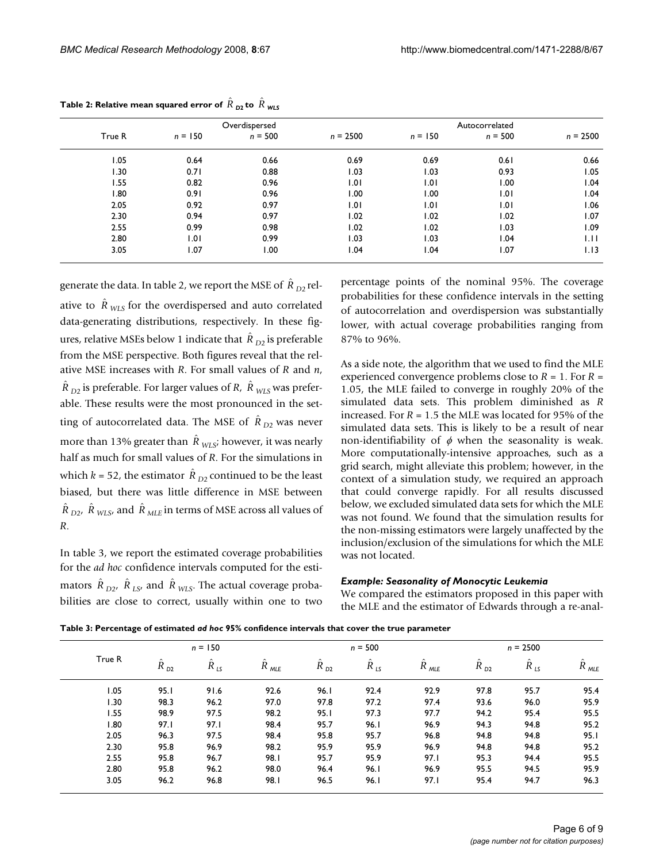|        | Overdispersed<br>Autocorrelated |           |            |           |           |            |  |
|--------|---------------------------------|-----------|------------|-----------|-----------|------------|--|
| True R | $n = 150$                       | $n = 500$ | $n = 2500$ | $n = 150$ | $n = 500$ | $n = 2500$ |  |
| 1.05   | 0.64                            | 0.66      | 0.69       | 0.69      | 0.61      | 0.66       |  |
| 1.30   | 0.71                            | 0.88      | 1.03       | 1.03      | 0.93      | 1.05       |  |
| 1.55   | 0.82                            | 0.96      | 1.01       | 1.01      | 1.00      | 1.04       |  |
| 1.80   | 0.91                            | 0.96      | 1.00       | 00.1      | 1.01      | 1.04       |  |
| 2.05   | 0.92                            | 0.97      | 1.01       | 1.01      | 1.01      | .06        |  |
| 2.30   | 0.94                            | 0.97      | 1.02       | 1.02      | 1.02      | 1.07       |  |
| 2.55   | 0.99                            | 0.98      | 1.02       | 1.02      | 1.03      | 1.09       |  |
| 2.80   | 1.01                            | 0.99      | 1.03       | 1.03      | 1.04      | ЫI         |  |
| 3.05   | 1.07                            | 00.1      | 1.04       | 1.04      | 1.07      | I.I3       |  |

<code>Table 2: Relative mean squared error of  $\hat R$   $_{\sf D2}$  to  $\hat R$   $_{\sf WLS}$ </code>

generate the data. In table 2, we report the MSE of  $\hat{R}^{}_{D2}$  relative to  $\hat{R}_{WLS}$  for the overdispersed and auto correlated data-generating distributions, respectively. In these figures, relative MSEs below 1 indicate that  $\hat{R}^{}_{D2}$  is preferable from the MSE perspective. Both figures reveal that the relative MSE increases with *R*. For small values of *R* and *n*,  $\hat{R}$  <sub>*D*2</sub> is preferable. For larger values of *R*,  $\hat{R}$  <sub>*WLS*</sub> was preferable. These results were the most pronounced in the setting of autocorrelated data. The MSE of  $\hat{R}$ <sub>D2</sub> was never more than 13% greater than  $\hat{R}_{\mathit{WLS}}$ ; however, it was nearly half as much for small values of *R*. For the simulations in which  $k = 52$ , the estimator  $\hat{R}$ <sub>D2</sub> continued to be the least biased, but there was little difference in MSE between  $\hat{R}$   $_{D2}$ ,  $\hat{R}$   $_{WLS}$ , and  $\hat{R}$   $_{MLE}$  in terms of MSE across all values of *R*.

In table 3, we report the estimated coverage probabilities for the *ad hoc* confidence intervals computed for the estimators  $\hat{R}_{D2}$ ,  $\hat{R}_{LS}$ , and  $\hat{R}_{WLS}$ . The actual coverage probabilities are close to correct, usually within one to two percentage points of the nominal 95%. The coverage probabilities for these confidence intervals in the setting of autocorrelation and overdispersion was substantially lower, with actual coverage probabilities ranging from 87% to 96%.

As a side note, the algorithm that we used to find the MLE experienced convergence problems close to *R* = 1. For *R* = 1.05, the MLE failed to converge in roughly 20% of the simulated data sets. This problem diminished as *R* increased. For  $R = 1.5$  the MLE was located for 95% of the simulated data sets. This is likely to be a result of near non-identifiability of  $\phi$  when the seasonality is weak. More computationally-intensive approaches, such as a grid search, might alleviate this problem; however, in the context of a simulation study, we required an approach that could converge rapidly. For all results discussed below, we excluded simulated data sets for which the MLE was not found. We found that the simulation results for the non-missing estimators were largely unaffected by the inclusion/exclusion of the simulations for which the MLE was not located.

#### *Example: Seasonality of Monocytic Leukemia*

We compared the estimators proposed in this paper with the MLE and the estimator of Edwards through a re-anal-

|        | $n = 150$                       |                                 |                                  | $n = 500$                       |                                 |                                  | $n = 2500$                              |                                 |                                  |
|--------|---------------------------------|---------------------------------|----------------------------------|---------------------------------|---------------------------------|----------------------------------|-----------------------------------------|---------------------------------|----------------------------------|
| True R | $\hat{\phantom{a}}$<br>$R_{D2}$ | $\hat{\phantom{a}}$<br>$R_{LS}$ | $\hat{\phantom{a}}$<br>$R_{MLE}$ | $\hat{\phantom{a}}$<br>$R_{D2}$ | $\hat{\phantom{a}}$<br>$R_{LS}$ | $\hat{\phantom{a}}$<br>$R_{MLE}$ | $\hat{\phantom{a}}$<br>$\tilde{R}_{D2}$ | $\hat{\phantom{a}}$<br>$R_{LS}$ | $\hat{\phantom{a}}$<br>$R_{MLE}$ |
| 1.05   | 95.1                            | 91.6                            | 92.6                             | 96.1                            | 92.4                            | 92.9                             | 97.8                                    | 95.7                            | 95.4                             |
| l.30   | 98.3                            | 96.2                            | 97.0                             | 97.8                            | 97.2                            | 97.4                             | 93.6                                    | 96.0                            | 95.9                             |
| 1.55   | 98.9                            | 97.5                            | 98.2                             | 95.1                            | 97.3                            | 97.7                             | 94.2                                    | 95.4                            | 95.5                             |
| 1.80   | 97.1                            | 97.1                            | 98.4                             | 95.7                            | 96.I                            | 96.9                             | 94.3                                    | 94.8                            | 95.2                             |
| 2.05   | 96.3                            | 97.5                            | 98.4                             | 95.8                            | 95.7                            | 96.8                             | 94.8                                    | 94.8                            | 95.1                             |
| 2.30   | 95.8                            | 96.9                            | 98.2                             | 95.9                            | 95.9                            | 96.9                             | 94.8                                    | 94.8                            | 95.2                             |
| 2.55   | 95.8                            | 96.7                            | 98.I                             | 95.7                            | 95.9                            | 97.I                             | 95.3                                    | 94.4                            | 95.5                             |
| 2.80   | 95.8                            | 96.2                            | 98.0                             | 96.4                            | 96.1                            | 96.9                             | 95.5                                    | 94.5                            | 95.9                             |
| 3.05   | 96.2                            | 96.8                            | 98.I                             | 96.5                            | 96.I                            | 97.I                             | 95.4                                    | 94.7                            | 96.3                             |
|        |                                 |                                 |                                  |                                 |                                 |                                  |                                         |                                 |                                  |

**Table 3: Percentage of estimated** *ad hoc* **95% confidence intervals that cover the true parameter**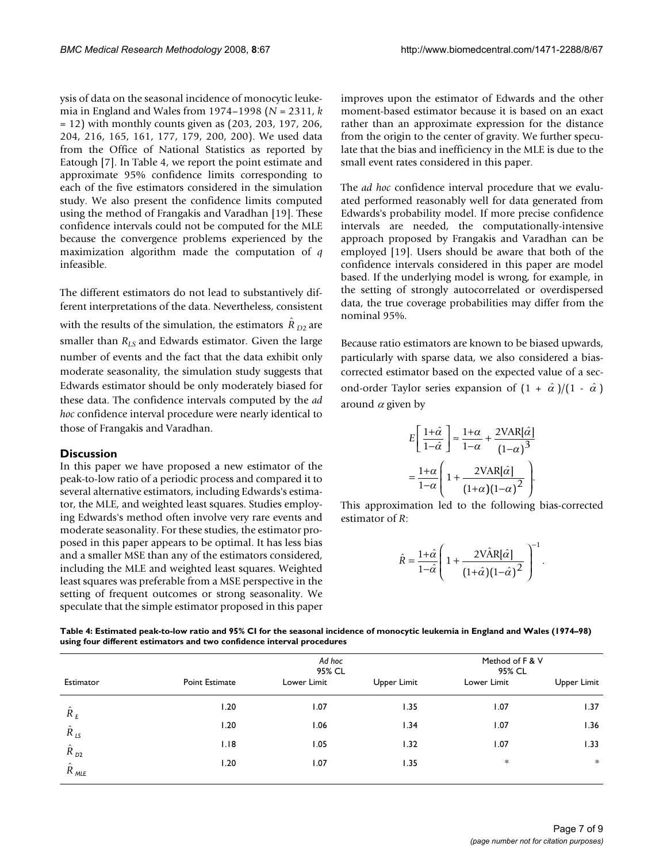ysis of data on the seasonal incidence of monocytic leukemia in England and Wales from 1974–1998 (*N* = 2311, *k* = 12) with monthly counts given as (203, 203, 197, 206, 204, 216, 165, 161, 177, 179, 200, 200). We used data from the Office of National Statistics as reported by Eatough [7]. In Table 4, we report the point estimate and approximate 95% confidence limits corresponding to each of the five estimators considered in the simulation study. We also present the confidence limits computed using the method of Frangakis and Varadhan [19]. These confidence intervals could not be computed for the MLE because the convergence problems experienced by the maximization algorithm made the computation of *q* infeasible.

The different estimators do not lead to substantively different interpretations of the data. Nevertheless, consistent

with the results of the simulation, the estimators  $\hat{R}$  <sub>D2</sub> are smaller than  $R_{LS}$  and Edwards estimator. Given the large number of events and the fact that the data exhibit only moderate seasonality, the simulation study suggests that Edwards estimator should be only moderately biased for these data. The confidence intervals computed by the *ad hoc* confidence interval procedure were nearly identical to those of Frangakis and Varadhan.

# **Discussion**

In this paper we have proposed a new estimator of the peak-to-low ratio of a periodic process and compared it to several alternative estimators, including Edwards's estimator, the MLE, and weighted least squares. Studies employing Edwards's method often involve very rare events and moderate seasonality. For these studies, the estimator proposed in this paper appears to be optimal. It has less bias and a smaller MSE than any of the estimators considered, including the MLE and weighted least squares. Weighted least squares was preferable from a MSE perspective in the setting of frequent outcomes or strong seasonality. We speculate that the simple estimator proposed in this paper improves upon the estimator of Edwards and the other moment-based estimator because it is based on an exact rather than an approximate expression for the distance from the origin to the center of gravity. We further speculate that the bias and inefficiency in the MLE is due to the small event rates considered in this paper.

The *ad hoc* confidence interval procedure that we evaluated performed reasonably well for data generated from Edwards's probability model. If more precise confidence intervals are needed, the computationally-intensive approach proposed by Frangakis and Varadhan can be employed [19]. Users should be aware that both of the confidence intervals considered in this paper are model based. If the underlying model is wrong, for example, in the setting of strongly autocorrelated or overdispersed data, the true coverage probabilities may differ from the nominal 95%.

Because ratio estimators are known to be biased upwards, particularly with sparse data, we also considered a biascorrected estimator based on the expected value of a second-order Taylor series expansion of  $(1 + \hat{\alpha})/(1 - \hat{\alpha})$ around  $\alpha$  given by

$$
E\left[\frac{1+\hat{\alpha}}{1-\hat{\alpha}}\right] \approx \frac{1+\alpha}{1-\alpha} + \frac{2VAR[\hat{\alpha}]}{(1-\alpha)^3}
$$

$$
= \frac{1+\alpha}{1-\alpha} \left(1 + \frac{2VAR[\hat{\alpha}]}{(1+\alpha)(1-\alpha)^2}\right).
$$

This approximation led to the following bias-corrected estimator of *R*:

$$
\hat{R} = \frac{1+\hat{\alpha}}{1-\hat{\alpha}} \left( 1 + \frac{2\hat{\alpha}R[\hat{\alpha}]}{(1+\hat{\alpha})(1-\hat{\alpha})^2} \right)^{-1}.
$$

**Table 4: Estimated peak-to-low ratio and 95% CI for the seasonal incidence of monocytic leukemia in England and Wales (1974–98) using four different estimators and two confidence interval procedures**

|                         |                       | Ad hoc<br>95% CL |             | Method of F & V<br>95% CL |             |  |
|-------------------------|-----------------------|------------------|-------------|---------------------------|-------------|--|
| Estimator               | <b>Point Estimate</b> | Lower Limit      | Upper Limit | Lower Limit               | Upper Limit |  |
| $\hat{R}_E$             | 1.20                  | 1.07             | 1.35        | 1.07                      | 1.37        |  |
| $\hat{R}_{LS}$          | 1.20                  | 1.06             | 1.34        | 1.07                      | I.36        |  |
| $\hat{R}$ <sub>D2</sub> | 1.18                  | 1.05             | 1.32        | 1.07                      | 1.33        |  |
| $\hat{R}_{MLE}$         | 1.20                  | 1.07             | 1.35        | $*$                       | $*$         |  |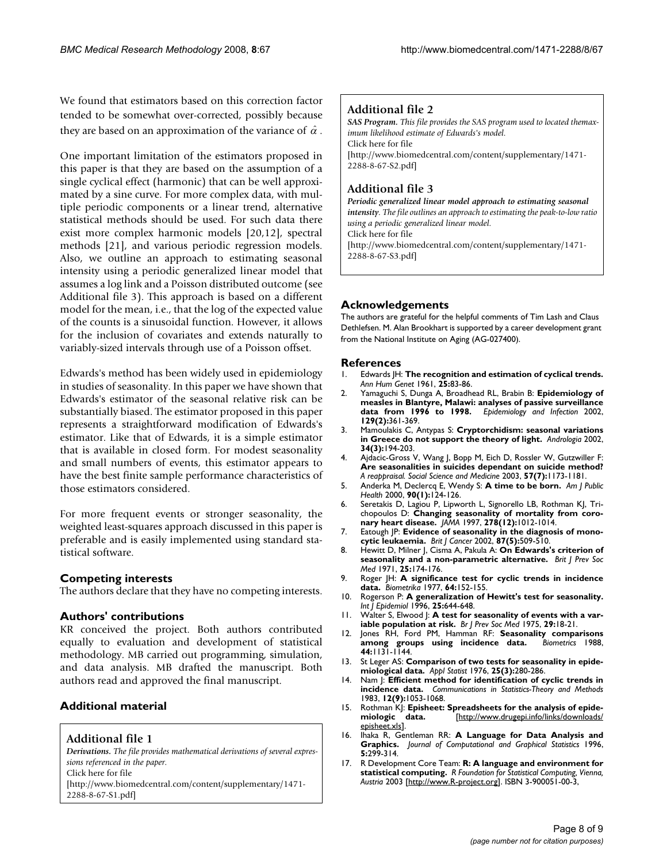We found that estimators based on this correction factor tended to be somewhat over-corrected, possibly because they are based on an approximation of the variance of  $\hat{\alpha}$  .

One important limitation of the estimators proposed in this paper is that they are based on the assumption of a single cyclical effect (harmonic) that can be well approximated by a sine curve. For more complex data, with multiple periodic components or a linear trend, alternative statistical methods should be used. For such data there exist more complex harmonic models [20,12], spectral methods [21], and various periodic regression models. Also, we outline an approach to estimating seasonal intensity using a periodic generalized linear model that assumes a log link and a Poisson distributed outcome (see Additional file 3). This approach is based on a different model for the mean, i.e., that the log of the expected value of the counts is a sinusoidal function. However, it allows for the inclusion of covariates and extends naturally to variably-sized intervals through use of a Poisson offset.

Edwards's method has been widely used in epidemiology in studies of seasonality. In this paper we have shown that Edwards's estimator of the seasonal relative risk can be substantially biased. The estimator proposed in this paper represents a straightforward modification of Edwards's estimator. Like that of Edwards, it is a simple estimator that is available in closed form. For modest seasonality and small numbers of events, this estimator appears to have the best finite sample performance characteristics of those estimators considered.

For more frequent events or stronger seasonality, the weighted least-squares approach discussed in this paper is preferable and is easily implemented using standard statistical software.

# **Competing interests**

The authors declare that they have no competing interests.

# **Authors' contributions**

KR conceived the project. Both authors contributed equally to evaluation and development of statistical methodology. MB carried out programming, simulation, and data analysis. MB drafted the manuscript. Both authors read and approved the final manuscript.

# **Additional material**

# **Additional file 1**

*Derivations. The file provides mathematical derivations of several expressions referenced in the paper.* Click here for file [\[http://www.biomedcentral.com/content/supplementary/1471-](http://www.biomedcentral.com/content/supplementary/1471-2288-8-67-S1.pdf) 2288-8-67-S1.pdf]

# **Additional file 2**

*SAS Program. This file provides the SAS program used to located themaximum likelihood estimate of Edwards's model.* Click here for file [\[http://www.biomedcentral.com/content/supplementary/1471-](http://www.biomedcentral.com/content/supplementary/1471-2288-8-67-S2.pdf) 2288-8-67-S2.pdf]

# **Additional file 3**

*Periodic generalized linear model approach to estimating seasonal intensity. The file outlines an approach to estimating the peak-to-low ratio using a periodic generalized linear model.* Click here for file [\[http://www.biomedcentral.com/content/supplementary/1471-](http://www.biomedcentral.com/content/supplementary/1471-2288-8-67-S3.pdf) 2288-8-67-S3.pdf]

# **Acknowledgements**

The authors are grateful for the helpful comments of Tim Lash and Claus Dethlefsen. M. Alan Brookhart is supported by a career development grant from the National Institute on Aging (AG-027400).

#### **References**

- 1. Edwards JH: **[The recognition and estimation of cyclical trends.](http://www.ncbi.nlm.nih.gov/entrez/query.fcgi?cmd=Retrieve&db=PubMed&dopt=Abstract&list_uids=13725808)** *Ann Hum Genet* 1961, **25:**83-86.
- 2. Yamaguchi S, Dunga A, Broadhead RL, Brabin B: **Epidemiology of measles in Blantyre, Malawi: analyses of passive surveillance data from 1996 to 1998.** *Epidemiology and Infection* 2002, **129(2):**361-369.
- 3. Mamoulakis C, Antypas S: **[Cryptorchidism: seasonal variations](http://www.ncbi.nlm.nih.gov/entrez/query.fcgi?cmd=Retrieve&db=PubMed&dopt=Abstract&list_uids=12059817) [in Greece do not support the theory of light.](http://www.ncbi.nlm.nih.gov/entrez/query.fcgi?cmd=Retrieve&db=PubMed&dopt=Abstract&list_uids=12059817)** *Andrologia* 2002, **34(3):**194-203.
- 4. Ajdacic-Gross V, Wang J, Bopp M, Eich D, Rossler W, Gutzwiller F: **Are seasonalities in suicides dependant on suicide method?** *A reappraisal. Social Science and Medicine* 2003, **57(7):**1173-1181.
- 5. Anderka M, Declercq E, Wendy S: **[A time to be born.](http://www.ncbi.nlm.nih.gov/entrez/query.fcgi?cmd=Retrieve&db=PubMed&dopt=Abstract&list_uids=10630151)** *Am J Public Health* 2000, **90(1):**124-126.
- 6. Seretakis D, Lagiou P, Lipworth L, Signorello LB, Rothman KJ, Trichopoulos D: **[Changing seasonality of mortality from coro](http://www.ncbi.nlm.nih.gov/entrez/query.fcgi?cmd=Retrieve&db=PubMed&dopt=Abstract&list_uids=9307350)[nary heart disease.](http://www.ncbi.nlm.nih.gov/entrez/query.fcgi?cmd=Retrieve&db=PubMed&dopt=Abstract&list_uids=9307350)** *JAMA* 1997, **278(12):**1012-1014.
- 7. Eatough JP: **[Evidence of seasonality in the diagnosis of mono](http://www.ncbi.nlm.nih.gov/entrez/query.fcgi?cmd=Retrieve&db=PubMed&dopt=Abstract&list_uids=12189545)[cytic leukaemia.](http://www.ncbi.nlm.nih.gov/entrez/query.fcgi?cmd=Retrieve&db=PubMed&dopt=Abstract&list_uids=12189545)** *Brit J Cancer* 2002, **87(5):**509-510.
- 8. Hewitt D, Milner J, Cisma A, Pakula A: **On Edwards's criterion of seasonality and a non-parametric alternative.** *Brit J Prev Soc Med* 1971, **25:**174-176.
- 9. Roger JH: **A significance test for cyclic trends in incidence data.** *Biometrika* 1977, **64:**152-155.
- 10. Rogerson P: **[A generalization of Hewitt's test for seasonality.](http://www.ncbi.nlm.nih.gov/entrez/query.fcgi?cmd=Retrieve&db=PubMed&dopt=Abstract&list_uids=8671568)** *Int J Epidemiol* 1996, **25:**644-648.
- 11. Walter S, Elwood J: **[A test for seasonality of events with a var](http://www.ncbi.nlm.nih.gov/entrez/query.fcgi?cmd=Retrieve&db=PubMed&dopt=Abstract&list_uids=1137765)[iable population at risk.](http://www.ncbi.nlm.nih.gov/entrez/query.fcgi?cmd=Retrieve&db=PubMed&dopt=Abstract&list_uids=1137765)** *Br J Prev Soc Med* 1975, **29:**18-21.
- 12. Jones RH, Ford PM, Hamman RF: **[Seasonality comparisons](http://www.ncbi.nlm.nih.gov/entrez/query.fcgi?cmd=Retrieve&db=PubMed&dopt=Abstract&list_uids=3233250)** [among groups using incidence data.](http://www.ncbi.nlm.nih.gov/entrez/query.fcgi?cmd=Retrieve&db=PubMed&dopt=Abstract&list_uids=3233250) **44:**1131-1144.
- 13. St Leger AS: **Comparison of two tests for seasonality in epidemiological data.** *Appl Statist* 1976, **25(3):**280-286.
- 14. Nam J: **Efficient method for identification of cyclic trends in incidence data.** *Communications in Statistics-Theory and Methods* 1983, **12(9):**1053-1068.
- 15. Rothman KJ: **Episheet: Spreadsheets for the analysis of epide-**<br>miologic data. [http://www.drugepi.info/links/downloads/ [\[http://www.drugepi.info/links/downloads/](http://www.drugepi.info/links/downloads/episheet.xls) [episheet.xls\]](http://www.drugepi.info/links/downloads/episheet.xls).
- 16. Ihaka R, Gentleman RR: **A Language for Data Analysis and Graphics.** *Journal of Computational and Graphical Statistics* 1996, **5:**299-314.
- 17. R Development Core Team: **R: A language and environment for statistical computing.** *R Foundation for Statistical Computing, Vienna, Austria* 2003 [[http://www.R-project.org\]](http://www.R-project.org). ISBN 3-900051-00-3,